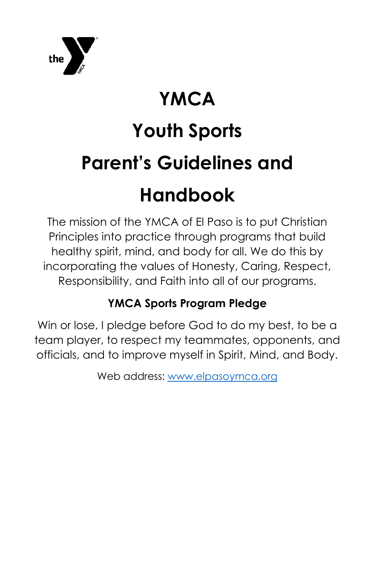

# **YMCA**

# **Youth Sports Parent's Guidelines and**

# **Handbook**

The mission of the YMCA of El Paso is to put Christian Principles into practice through programs that build healthy spirit, mind, and body for all. We do this by incorporating the values of Honesty, Caring, Respect, Responsibility, and Faith into all of our programs.

## **YMCA Sports Program Pledge**

Win or lose, I pledge before God to do my best, to be a team player, to respect my teammates, opponents, and officials, and to improve myself in Spirit, Mind, and Body.

Web address: [www.elpasoymca.org](http://www.elpasoymca.org/)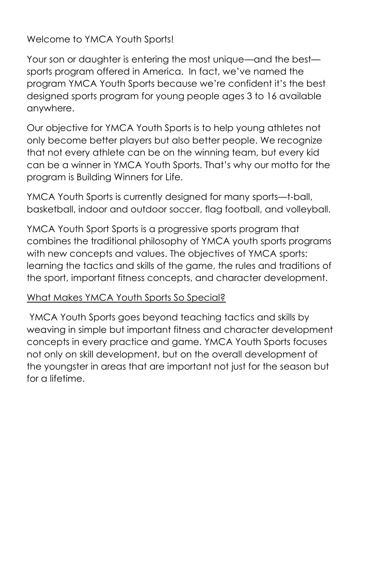Welcome to YMCA Youth Sports!

Your son or daughter is entering the most unique—and the best sports program offered in America. In fact, we've named the program YMCA Youth Sports because we're confident it's the best designed sports program for young people ages 3 to 16 available anywhere.

Our objective for YMCA Youth Sports is to help young athletes not only become better players but also better people. We recognize that not every athlete can be on the winning team, but every kid can be a winner in YMCA Youth Sports. That's why our motto for the program is Building Winners for Life.

YMCA Youth Sports is currently designed for many sports—t-ball, basketball, indoor and outdoor soccer, flag football, and volleyball.

YMCA Youth Sport Sports is a progressive sports program that combines the traditional philosophy of YMCA youth sports programs with new concepts and values. The objectives of YMCA sports: learning the tactics and skills of the game, the rules and traditions of the sport, important fitness concepts, and character development.

#### What Makes YMCA Youth Sports So Special?

YMCA Youth Sports goes beyond teaching tactics and skills by weaving in simple but important fitness and character development concepts in every practice and game. YMCA Youth Sports focuses not only on skill development, but on the overall development of the youngster in areas that are important not just for the season but for a lifetime.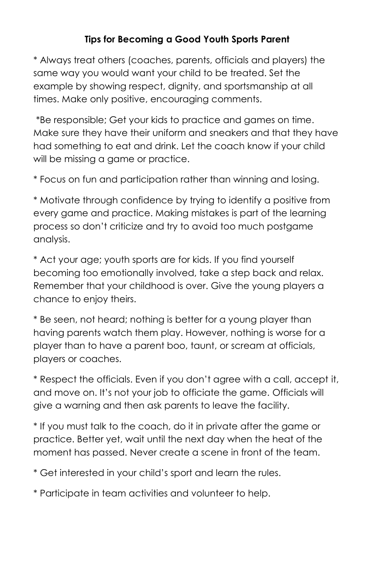### **Tips for Becoming a Good Youth Sports Parent**

\* Always treat others (coaches, parents, officials and players) the same way you would want your child to be treated. Set the example by showing respect, dignity, and sportsmanship at all times. Make only positive, encouraging comments.

\*Be responsible; Get your kids to practice and games on time. Make sure they have their uniform and sneakers and that they have had something to eat and drink. Let the coach know if your child will be missing a game or practice.

\* Focus on fun and participation rather than winning and losing.

\* Motivate through confidence by trying to identify a positive from every game and practice. Making mistakes is part of the learning process so don't criticize and try to avoid too much postgame analysis.

\* Act your age; youth sports are for kids. If you find yourself becoming too emotionally involved, take a step back and relax. Remember that your childhood is over. Give the young players a chance to enjoy theirs.

\* Be seen, not heard; nothing is better for a young player than having parents watch them play. However, nothing is worse for a player than to have a parent boo, taunt, or scream at officials, players or coaches.

\* Respect the officials. Even if you don't agree with a call, accept it, and move on. It's not your job to officiate the game. Officials will give a warning and then ask parents to leave the facility.

\* If you must talk to the coach, do it in private after the game or practice. Better yet, wait until the next day when the heat of the moment has passed. Never create a scene in front of the team.

\* Get interested in your child's sport and learn the rules.

\* Participate in team activities and volunteer to help.